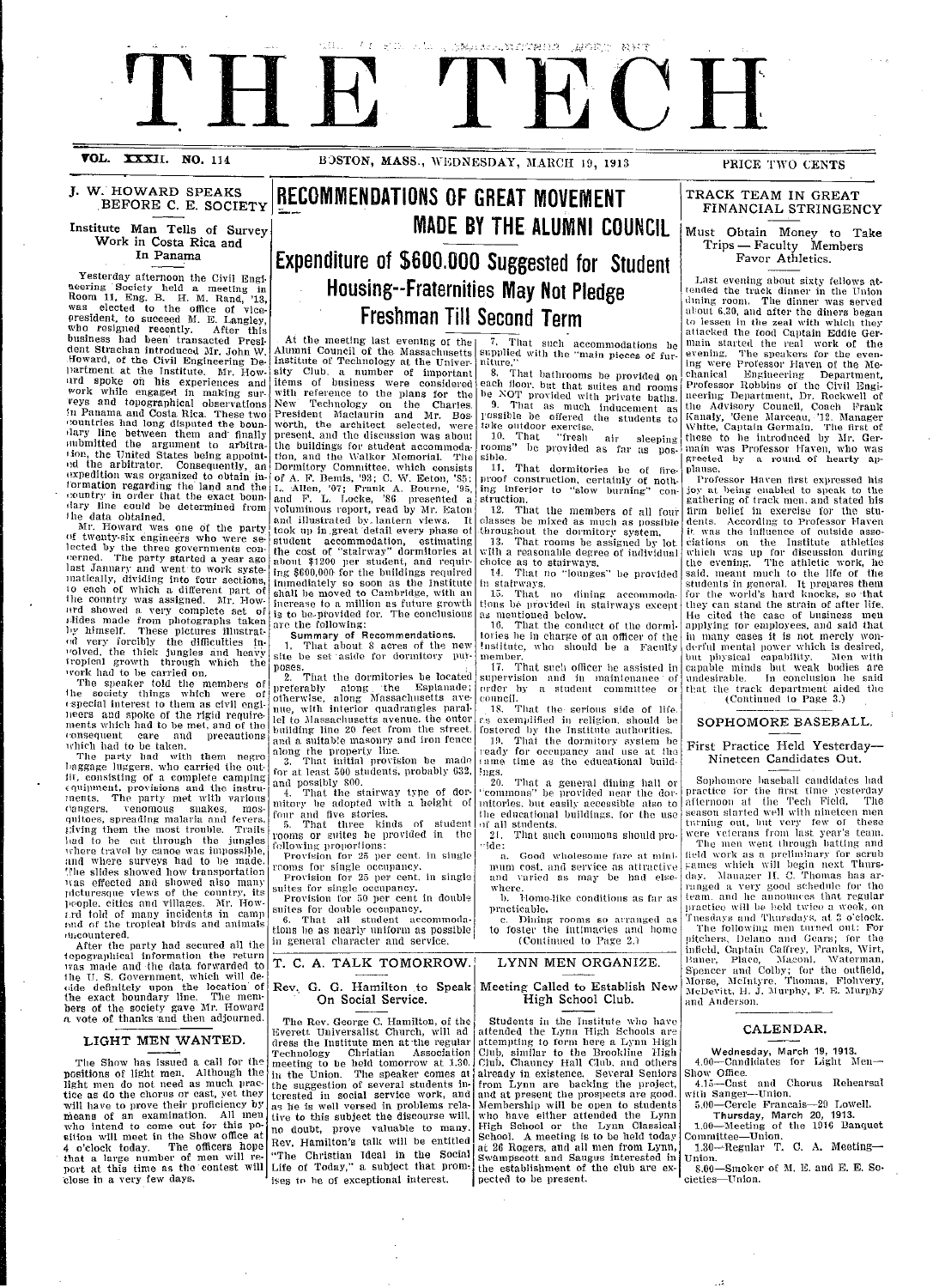# $\bigcap$ I : *: f* .. I A ., ., ':, , :j

**VOL. XXXII. NO. 114 BOSTON, MASS., WEDNESDAY, MARCH 19, 1913 PRICE TWO CENTS** 

**J. W.' HOWARD SPEAKS BEFORE C. E. SOCIETY**

<u>i</u>

#### **Institute Man Tells of Survey Work in Costa Rica and In** Panama

Yesterday afternoon the Civil Engi-<br>neering Society held a meeting in Room 11, Eng. B. H. M. Rand, '13, was elected to the office president, to succeed M. E. Langley<br>who resigned recently. After this business had been' transacted President Strachan introduced Mr. John W.<br>Howard, of the Civil Engineering Dei)artment at the Institute. Mr. How-**ird** spoke on his experiences and work while engaged in making sur- *'veys* and topographical observations In Panama and Costa Rica. These two<br>countries had long disputed the boun-<br>dary line between them and finally oubmitted the argument to arbitra- .ion, the United States being appoint-ld the arbitrator. Consequently, an expedition was organized to obtain information regarding the land and the ilary line could be determined from The data obtained.

Mr. Howard was one of the party<br>of twenty-six engineers who were se-<br>lected by the three governments con-<br>terned. The party started a year ago-<br>last January and went to work syste-<br>matically, dividing into four sections,<br>t urd showed a very complete set of<br>Hides made from photographs taken ly himself. These pictures illustrat-<br>ed very forcibly the difficulties in-<br>"Olved, the thick jungles and heavy<br>iropical growth through which the<br>"vork had to be carried on.

The speaker told the members of the society things which were of the society things which were of<br>especial interest to them as civil engilieers and spoke of the rigid require-<br>ments which had to be met, and of the consequent care and precautions

which had to be taken. The party had with them negro baggage luggers. who carried the outlit, consisting of a complete camping ( **qiipmert,** provisions and the instruments. The party met with various<br>(langers, venomous snakes, mos-<br>quitoes, spreading malaria and fevers, giving them the most trouble. Trails ihad to be cut through the jungles where travel by canoe was impossible, and where surveys had to be made. '.lhe slides showed how transportation l'as effected and showed also man) picturesque views of the country, its<br>people. cities and villages. Mr. How- $\tilde{t}$ rd told of many incidents in camp rand of the tropical birds and animals uencountered.

After the party had secured all the topographical information the return was made and the data forwarded to the U. S. Government, which will de-<br>cide definitely upon the location of<br>the exact boundary line. The members of the society gave Mr. Howard<br>a vote of thanks and then adjourned

#### LIGHT MEN WANTED.

The Show has issued a call for the positions of light men. Although the light men do not need as much prac- tice as do the chorus or cast, yet they xwill have to prove their proficiency by means of an examination. All men<br>who intend to come out for this position will meet in the Show office at 4 o'clock today. The officers hope that a large number of men will re- port at this time as the contest will 'close in a very few days.

## **RECOMMENDATIONS OF GREAT MOVEMENT MADE BY THE ALUMNI COUNCIL Expenditure of \$600.000 Suggested for Student**

## **Housing--Fraternities May Not Pledge Freshman Till Second Term**

At the meeting last evening of the Alumni Council of the- Massachusetts Institute of Technology at the University Club. a number of important items of business were considered<br>with reference to the plans for the New' Technology on the Charles. President Miaclaurin and Mr. Bos. worth, the architect selected, were present. and the discussion was about the buildings for student accommoda-tion, and the \\alker Memorial. The Dormitory Committee, which consists of A. F. Bemis, '93; C. W. Eeton, '85; L. -Allen, '07; Frank A. Bourne, '95, and F. L. Locke, '86 presented a voluminous report, read by Mr. Eaton and illustrated by.. lantern views. It took up in great detail every phase of student accommodation, estimating<br>the cost of "stairway" dormitories at<br>about \$1200 per student, and requiring \$600,000 for the buildings required inmediately so soon as the Institute<br>shall be moved to Cambridge, with an shall be moved to Cambridge, with an increase to a million as future growth is to be-provided for. The conclusions<br>are the following:

**Summary of Recommendations.**<br>1. That about 8 acres of the new<br>site be set aside for dormitory put-

poses. 2. That the dormitories be located preferably along 'the Esplanade; otherwise, along Massachusetts avenie, with interior quadrangles parallel to Massacllusetts avenue. the outer building line 20 feet from the street. and a suitab!e masonry and iron fence

along the property line. 3. That initial provision be made for at least 500 students, probably 632, and possibly 800.

4. That the stairway type of dor-mitory be adopted with a height of

four and five stories.<br>5. That three kinds of student rooms or suites be provided in the<br>following proportions:<br>Provision for 25 per cent. in single

rooms for single occupancy.<br>Provision for 25 per cent, in single

suites for single occupancy. Provision for 50 per cent in double

suites for double occupancy. 6. That all student accommoda<br>tions be as nearly uniform as possible

in general character and service.

T. **C. A. TALK TOMORROW.**

#### **Rev., G. G. Hamilton to Speak On Social Service.**

The Rev. George C. Hamilton, of the Everett Universalist Church, will ad dress the Institute men at-the regular Technology Christian Association meeting to be held tomorrow at 1.30, in the Union. The speaker comes al the suggestion of several students in-terested in social service work, and as he is well versed in problems relative to this subject the discourse will, no doubt, prove valuable to many. Rev. Hamilton's talk will be entitled "The Christian Ideal in the Social Life of Today," a subject that promises to he of exceptional interest.

7. That such accommodations be supplied with the "main pieces of furniture.<br>8

...<br>That bathrooms be provided on each floor, but that suites and rooms<br>be NOT provided with private baths. 9. That as much inducement as<br>
rossible be offered the students to<br>
take outdoor exercise.<br>
10. That "fresh air sleeping"

rooms" be provided as far as possible.

11. That dormitories be of fireproof construction, certainly of noth-ing inferior to "slow burning" con- struction.

12. Tllat tile members of all four classes be mixed as much as possible throughout tihe dormitory system. 13. That rooms be assigned by lot.

with a reasonable degree of individual<br>choice as to stairways.<br>14. That no "lounges" be provided

in stairways.

15. That no dining accommoda-<br>tions be provided in stairways except as mentioned below. 16. That the conduct of the dormi-

tories he in charge of an oflicer of the Institute, who should be a Faculty

member.<br>— 17. That such officer be assisted in<br>supervision - and - in - maintenance - of order by a student committee or<br>order by a student committee or<br>council.<br>18. That the serious side of life.

..<br>That the serious side of life. r's exemplified in religion, should be<br>fostered by the Institute authorities.<br>19. That the dormitory system be

!ready for occlupancy andl use at the **i ame** time as the educational build- $\frac{\log s}{20}$ .

20. That a general dining hall or ''commons" be provided near the dorinitories. but easily accessible also to he educatiollal buildings, for the use *of* all students.

21. That such commons should pro-<br>de:

a. Good wholesome fare at minimum cost, and service as attractive<br>and varied as may be had elseand varied as may be had else-<br>where.<br>b. Home-like conditions as far as

practicable.

Dining rooms so arranged as to foster the intimacies and home (Continued to Page 2.)

### LYNN MEN ORGANIZE.

#### **Meeting** Called to Establish **New** High School Club.

Students in the Institute who have<br>attended the Lynn High Schools are attended the Lynn High Schools are<br>attempting to form here a Lynn High Club, similar to the Brookline High<br>Club. Chauncy Hall Club, and others already in existence. Several Seniors from Lynn are backing the project, and at present the prospects are good. Membership will be open to students who have either attended the Lynn High School or the Lynn Classical School. A meeting is to be held today at 26 Rogers, and all men from Lynn, Swampscott and Saugus interested in the establishment of the club are ex- pected to be present.

#### **TRACK TEAM IN GREAT FINANCIAL STRINGENCY**

#### **Must Obtain Money to Take Trips-- Faculty Members** Favor Athletics.

Last evening about sixty fellows attended the track dinner was served<br>dining room. The dinner was served<br>albout 6.30, and after the diners began<br>to lessen in the zeal with which they attacked the food Captain Eddie Ger-main started the real work of the evening. The speakers for the even-<br>ing were Professor Haven of the Me-<br>chanical - Engineering - Department, Professor Robbins of the Civil Engl-<br>neering Department, Dr. Rockwell of the Advisory Council, Coach Frank Kanaly, 'Gene Marceau, '12. Manager<br>White, Captain Germain. The first of these to be introduced by IMr. Gerthese to be introduced by Mr. Germain was Professor Haven, who was greeted by a round of hearty applause.

Professor Haven first expressed his<br>joy at being enabled to speak to the<br>gathering of track men. and stated his firm belief in exercise for the dents. According to Professor Haven it was the influence of outside associations on the Institute athletics<br>which was up for discussion during<br>the evening. The athletic work, he<br>said, meant much to the life of the<br>students in general. It prepares them<br>for th they can stand the strain of after life.<br>He cited the case of business men He cited the case of business men<br>applying for employees, and said that<br>in many cases it is not merely wonin many <mark>cases it is not merely won-</mark><br>derful mental power which <mark>is des</mark>ired,<br>but physical capability. Alen with capable minds but we<mark>ak</mark> bodies are<br>undesirable. In conclusion he said that the track department aided the (Continued to Page 3.)

#### **SOPHOMORE** BASEBALL.

#### **First Practice Held Yesterday-Nineteen Candidates Out.**

Sophomore baseball candidates had practice for the first time yesterday afternoon at the Tech Field. The<br>season-started-well-with-nineteen-men<br>turning out, but very few of these were veterans from last year's team.<br>The men went through batting and field work as a preliminary for scrub tames which will begin next Thursday. Manager II. C. Thomas has ar-<br>ranged a very good schedule for tho<br>team. and he announces that regular practice will be beld twice a week, on Tuesdays and Thursdays, at 3 o'clock. The following men tllrlled out: For pitchers, Delano and Gears; for the<br>infield, Captain Caffrey, Franks, Wirt,<br>Baner, -Place, -Maconi, Waterman,<br>Spencer and Colby; for the outfield, Morse, McIntyre. Thomas, Flohvery<br>McDevitt, H. J. Murphy, F. E. Murphy<br>and Anderson.

#### **CALENDAR.**

Wednesday, March 19, 1913.<br>4.00—Candidates for Light Men-Show Office.

4.15-Cast and Chorus Rehearsal with Sanger-Union. 5.00-Cercle Francais-29 Lowell.

**Thursday, March 20, 1913.**<br>1.00—Meeting of the 1916 Banquet<br>Committee—Union. 1.30--Regular T. C. A. Meeting-

Union. S.00-Smoker of Mi. E. and E. E. Societies-Union.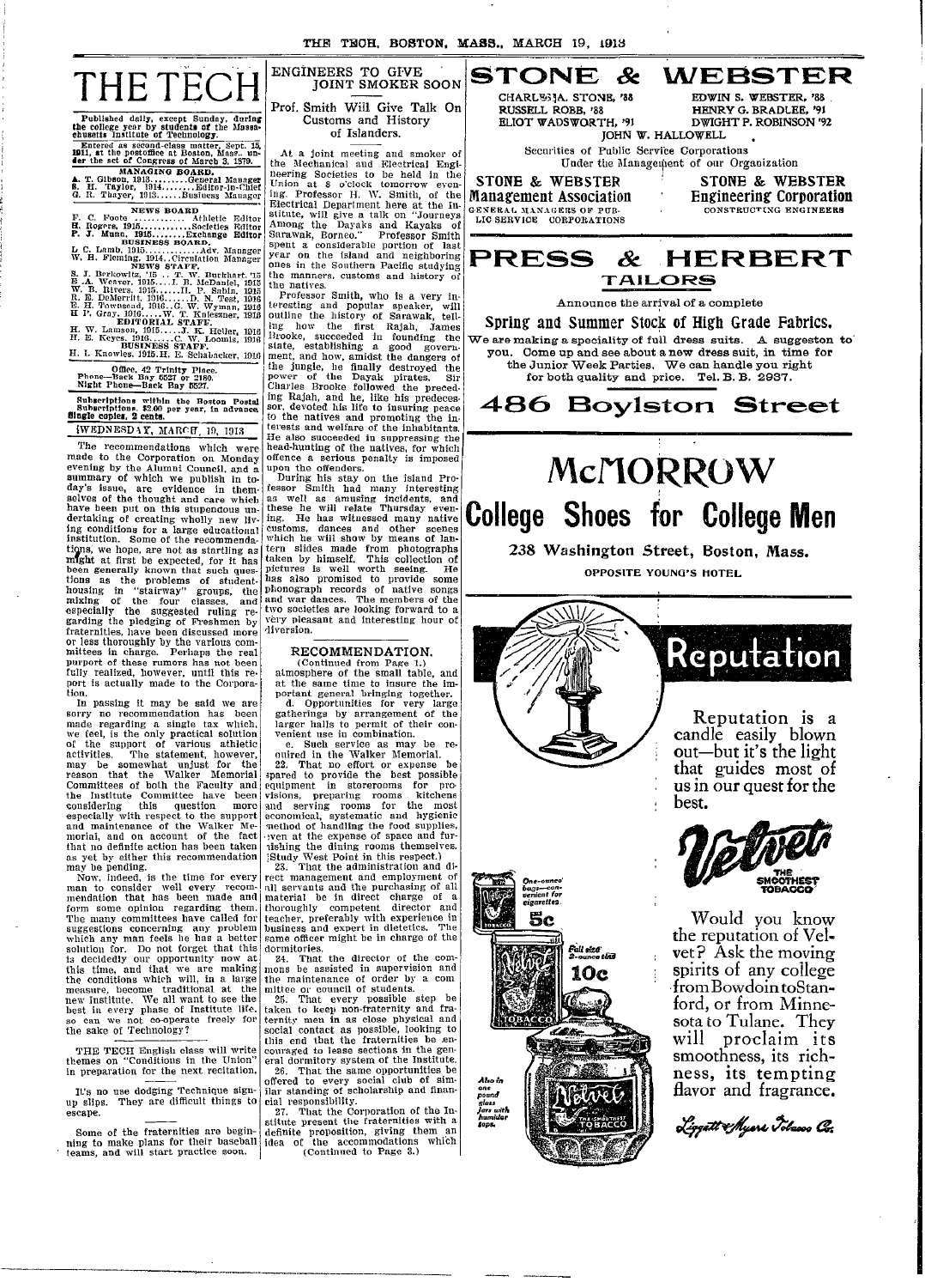

=

Published daily, except Sunday, during **the** college year by students of the Massa-chusetts Institute **of Technology.** Entered **as second-class** matter. Sept. 15, **1911, at** the postoffice at Boston, Mass.. un- **der** the **set** of Congress of March 3. 1879.

MANAGING BOARD.<br>**A. T.** Gibson, 1913 .........General Manager<br>**B.** H. Taylor, 1914.......Business Manager<br>G. R. Thayer, 1913......Business Manager

**NEWS BOARD**<br> **F. C. Foote .............** Athletic Editor<br> **H. Rogers, 1915.............Societies Editor** 

**P. J. Munn, 1915 ........ Exchange Editor BUSINESS BOARD.** L C. Lamb, 1915 ............. Adv. Manager W. H. Fleming, 1914. Circulation Manager NEWS STAFF. S. **T.** Berkowiltz, '15 .. T. W. Burkhart. '15 E .A. Weaver, 1915 .... I. B. McDaniel, 1915 W. B. Rivers. 1915 . .....II. P. Sabin, 1915 R. E. DeMerritt. 1916 ...... D. N. Test, 1916 E. H. Townsend, 1916.. G. W. Wyman, 1916 H I'. Gray. 1916 ..... W. T. Knieszner, 1918 EDITORIAL STAFF. H. W. Lanmson, 1915 ..... J. K. Heller, 1916 HII. E. Keyes. 1916 ...... C. W. Loomis, 1916 BUSINESS STAFF. H. I. Knowles, 1915.H. E. Schabacker, 1916

Office. 42 Trinity Place. Phone-Back Bny 6527 or 2180. **Night** Phone-Back **Bay 5527.**

Suhseriptions within the Boston Postal<br>Subseriptions. \$2.00 per year, in advance.<br>**Single copies, 2 cents.** 

 $IWEDNESDAY, MARCH, 19, 1913$ The recommendations which were made to the Corporation on Monday evening by the Alumni Council, and a summary of which we publish in to-<br>day's issue, are evidence in them-

selves of the thought and care which<br>have been put on this stupendous undertaking of creating wholly new living conditions for a large educational institution. Some of the recommendatigns, we hope, are not as startling as mnght at first be expected, for it has been generally known that such ques-tions as the problems of studenthousing in "stairway" groups, the mixing of the four classes, and especially the suggested ruling re- garding the pledging of Freshmen by fraternities, have been discussed more<br>or less thoroughly by the various com-<br>mittees in charge. Perhaps the real<br>purport of these rumors has not been fully realized, however, until this report is actually made to the Corpora-tion.

In passing it may be said we are sorry no recommendation has been made regarding a single tax which, we feel, is the only practical solution of the support of various athletic activities. The statement, however, may be somewhat unjust for the Walker Memorial<br>reason that the Walker Memorial<br>Committees of both the Faculty and<br>the Institute Committee have been considering this question more especially with respect to the support and maintenance of the Walker Meminorial, and on account of the fact that no definite action has been taken as yet by either this recommendation

may be pending. Now, indeed, is the time for every man to consider well every recommendation that has been made and form some opinion regarding them. The many committees have called for suggestions concerning any problem which any man feels he has a better solution for. Do not forget that this<br>is decidedly our opportunity now at<br>this time, and that we are making<br>the conditions which will, in a large<br>measure, become traditional at the<br>new Institute. We all want to see the<br>bes so can we not co-operate freely for<br>the sake of Technology?

THE TECH English class will write themes on "Conditions in the Union" in preparation for the next recitation.

It's no use dodging Technique signup slips. They are difficult things to escape.

Some of the fraternities are beginning to make plans for their baseball teams, and will start practice soon.

-- --

Prof. Smith Will Give Talk On Customs and History of Islanders.

At a joint meeting and smoker of the Mechanical and Electrical Engi-neering Societies to be held in the Union at 8 o'clock tomorrow evening. Professor H. W. Smith, of the Electrical Department here at the Institute, will give a talk on "Journeys Among the Dayaks and Kayaks of Sarawak, Borneo." Professor Smith spent a considerable portion of last year on the island and neighboring ones in the Southern Pacific studying the manners, customs and history of the natives.  $\vert$  At the hearing Union ing. Profe<br>Electrical<br>stitute, wi<br>Among th

Professor Smith, who is a very in-teresting and popular speaker, will outline the history of Sarawak, telling how the first Rajah, James 3Brooke, succeeded in founding the state, establishing a good govern-ment, and how, amidst the dangers of the jungle, he finally destroyed the power of the Dayak pirates. Sir Charles Brooke followed the preceding Rajah, and he, like his predeces-sor, devoted his life to insuring peace to the natives and promoting the in-terests and welfare of the inhabitants. He also succeeded in suppressing the the also succeeded in suppressing the head-hunting of the natives, for which offence a serious penalty is imposed upon the offenders. During his stay on the island Proconsiderable notriton of last<br>metric and the fishand and neighboring cortic and a neighboring the island and neighboring<br>the island and neighboring the signal and neighboring the signal and neighboring the<br>ners, customs an y<br>are on the island and neighboring the model in the bouthern Pacific studying<br>ones in the Southern Pacific studying<br>the matters of last are professor. Suitably with the anti-space<br>of levelling and popular spaces in the b the manners, customs and history of the manners, customs and history of the manners.<br>
It the matives. From the study that it will a term in the study in the study in the study of Satawak, tell in<br>the mative study of the f the natives<br>are the matrix of the matrix of the matrix and popular speaker, when the first<br>and popular speaker, and popular speaker and popular speaker and popular<br>increases smooth in the first Right). Those, succeeded in ter<mark>esting a</mark><br>outline the<br>ing how state,<br>ment, power<br>Charles **UDERS TO GIVE CONSUMPLY SMOKER SOON**<br> **UDERS TO GIVE CONSUMPLY SMOKER SOON**<br> **IDERS TO GIVE CONSUMPLY SMOKER SOON**<br> **UDERS TO GIVE CONSUMPLY CONSUMPLY** that the different to be held in the consumeration of the state of th

fessor Smith had many interesting as well as amusing incidents, and these he will relate Thursday even- ing. He has witnessed many native customs, dances and other scenes which he will show by means of lantern slides made from photographs taken by himself. This collection of pictures is well worth seeing. He has also promised to provide some )phonograph records of native songs and war dances. The members of the<br>two societies are looking forward to a<br>very pleasant and interesting hour of diversion. e us in<br>some the first range of sarawak, returned the first range of<br>thow the first range of a controlled in found and<br>and how maniate food governing the small position and how maniate food governing<br>and a mod how maniate Brooke, succeeded in foundatie the damper than the change that have a mean and now small and now small the damper of the main and how small the damper of the main and the stable the main particular the main particular and ever of the David Internal streamed.<br>
When the movies Brooks to<br>lowed the recession the Regala, and he, like in the Redach and he, like his predicted in Figala, and he, like his predicted in suppressing the and promoting

RECOMMENDATION. (Continued from Page 1.) atmosphere of the small table, and

at the same time to insure the im-<br>portant general bringing together.<br>d. Opportunities for very large<br>gatherings by arrangement of the<br>larger halls to permit of their con-<br>venient use in combination.<br>e. Such service as may

ouired in the Walker Memorial. 22. That no effort or expense be

;pared to provide the best possible equipment in storerooms for pro- visions, preparing rooms kitchens and serving rooms for the most economical, systematic and hygienic 'method of handling the food supplies, .ven at the expense of space and fur- 'ishing the dining rooms themselves.

'Study West Point in this respect.) 23. That the administration and di-rect management and employment of all servants and the purchasing of all material be in direct charge of a thoroughly competent director and teacher, preferably with experience in business and expert in dietetics. The business and expert in dietetics. The<br>same officer might be in charge of the

dormitories.<br>- 24. That the director of the commons be assisted in supervision and the maintenance of order by a com mittee **or** council of students. 25. That every possible step be

taken to keep non-fraternity and fra-<br>ternity men in as close physical and social contact as possible, looking to this end that the fraternities be .en- couraged to lease sections in the gen-eral dormitory system of the Institute. 26. That the same opportunities be offered to every social club of sim-ilar standing of scholarship and finan**in** 

cial responsibility. 27. That the Corporation of the In-stitute present the fraternities with a definite proposition, giving them an idea of the accommodations which (Continued to Page 3.)



**Management Association** GENERAL MANAGERS OF PUB-<br>LIC SERVICE CORPORATIONS

Engineering **Corporation** CONSTRUCTING ENGINEERS

### **PRESS & HERBERT** TA **ILIORS**

\_ s I --- **u** d- \_ -b - I I

Announce the arrival of a complete

Spring and Summer Stock of High Grade Fabrics. We are making a speciality of full dress suits. A suggeston to' Come up and see about a new dress suit, in time for the Junior Week Parties. We can handle you right for both quality and price. Tel. B. B. 2937.

**486 Boylston Street** 

## **Mc/I1ORROW College Shoes for College Men**

238 Washington Street, Boston, Mass. OPPOSITE YOUNG'S HOTEL



Professor 1-1. ANT. Smith, of the Management Association Engineering Corporation

first Rajah, Jam - Spring and Summer Stock of High Grade Fabrics.

 $\overline{\phantom{a}}$ 



/ **Reputation is a** candle easily blown out-but it's the light that guides most of us in our quest for the **best.**



=.

**Would you know** the reputation of Vel**vet** ? Ask the moving spirits of any college from Bowdoin toStanford, or from Minnesota to Tulane. They will proclaim **its** smoothness, its richness, its **tempting** flavor and fragrance.

<u>Liggett & Myere P</u>olacco Co: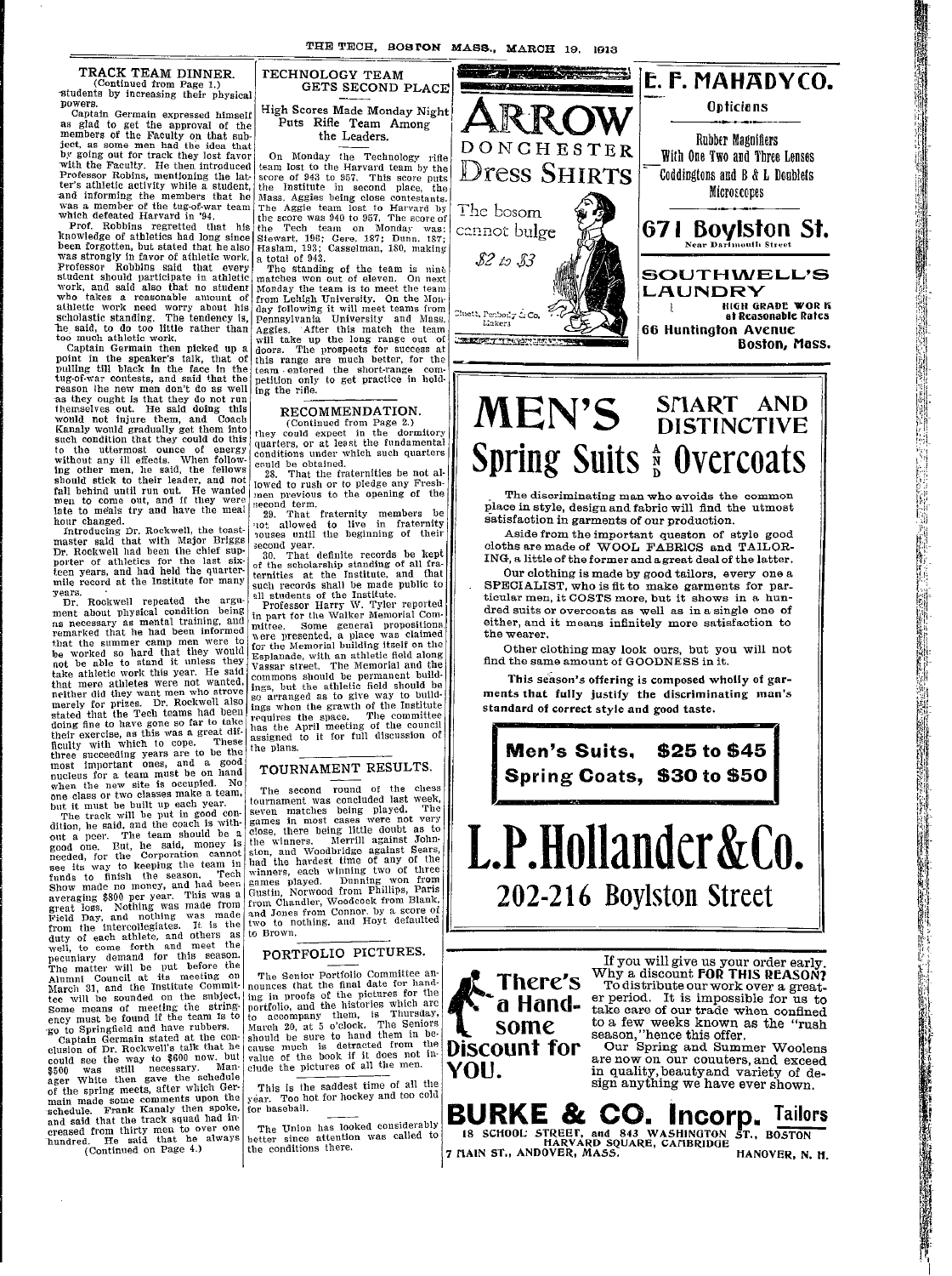#### **TRACK** TEAM DINNER.

-

(Continued from Page 1.) students by increasing their physic

powers. Captain Germain expressed himse as glad to get the approval of the members of the Faculty on that su<br>members of the Faculty on that su<br>ject, as some men had the idea the<br>by going out for track they lost fave with the Faculty. He then introduce Professor Robins, mentioning the la ter's athletic activity while a studen and informing the members that h<br>was a member of the tug-of-war tear

which defeated Harvard in '94.<br>
Prof. Robbins regretted that his<br>
knowledge of athletics had long since<br>
been forgotten, but stated that he also<br>
was strongly in favor of athletic work. Professor Robbins said that ever student should participate in athletic work, and said also that no studen who takes a reasonable amount of athletic work need worry about hi scholastic standing. The tendency is he said, to do too little rather thai too much athletic work.

Captain Germain then picked up a<br>point in the speaker's talk, that of<br>pulling till black in the face in the<br>tug-of-war contests, and said that the reason the new men don't do as well ing the rifle. exactle when the state of the said do not run themselves out. He said doing this would not injure them, and Coach<br>Kanaly would gradually get them into<br>such condition that they could do this to the uttermost ounce of energy without any ill effects. When following other men, he said, the fellows<br>should stick to their leader, and not fall behind until run out. He wanted men to come out, and if they were late to meals try and have the meal

hour changed. Introducing Dr. Rockwell, the toast-master said that with Major Briggq Dr. Rockwell had been the chief sup-porter of athletics for the last six-teen years, and had held the quarter-mile record at the Institute for many

years. Dr. Rockwell repeated the argument about physical condition being ns necessary as mental training, and<br>remarked that he had been informed<br>that the summer camp men were to loe worked so hard that they would not be able to stand it unless they take athletic work this year. He said that mere athletes were not wanted, neither did they want men who strove merely for prizes. Dr. Rockwell also stated that the Tech teams had been doing fine to have gone so far to take their exercise, as this was a great dif-ficulty with which to cope. These three succeeding years are to be the most important ones, and a good nucleus for a team must be on hand when the new site is occupied. No

one class or two classes make a team, but it must be built up each year. The track will be put in good con-dition, lhe said, and the coach is without a peer. The team should be a good one. But, he said, money is needed, for the Corporation cannot see its way to keeping the team in<br>funds to finish the season. Tech<br>Show made no money, and had been<br>averaging \$800 per year. This was a<br>great loss. Nothing was made from<br>Field Day, and nothing was made<br>from the intercolle duty of each athlete, and others as wvell, to come forth and meet the pecuniary demand for this season. The matter will be put before the Alumni Council at its meeting on March 31, and the Institute Commit-tee will be sounded on the subject, Some means of meeting the stringency must be found if the team Is to

-go to Springfield and have rubbers. Captain Germain stated at the con-clusion of Dr. Rockwell's talk that he could see the way to \$600 now. but \$500 was still necessary. Manager White then gave the schedule of the spring meets, after which Ger-main made some comments upon the schedule. Frank Kanaly then spoke, and said that the track squad had in-creased from thirty men to over one hundred. He said that he always (Continued on Page 4.) TECHNOLOGY TEAM GETS SECOND PLACE High Scores Made Monday Night

Puts Rifle Team Among the Leaders.

or On Monday the Technology rified team lost to the Harvard team by the level of 943 to 957. This score puts the Institute in second place, the Mass. Aggies being close contestants. The Aggie team lost to Harvard by the score was 940 to 957. The score of the Tech team on Monday was: e Stewart, 196; Gere, 187; Dunn. 187;<br>o Haslam, 193; Casselman, 180, making

s a total of 943.<br>The standing of the team is nine<br>c matches won out of eleven. On next Monday the team is to meet the team f from Lehigh University. On the Mons<br>s day following it will meet teams from 3, Pennsylvania University and Mass. n Aggies. 'After this match the team will take up the long range out of doors. The prospects for success at this range are much better, for the electron of the short-range competition only to get practice in hold-

#### RECOMMENDATION. (Continued from Page 2.)

they could expect in the dormitory quarters, or at least the fundamental conditions under which such quarters could be obtained. 28. That the fraternities be not al-

llowed to rush or to pledge any Fresh- ]men previous to the opening of the Second term. 29. That fraternity members be

not allowed to live in fraternity<br>nouses until the beginning of their second year.<br>30. That definite records be kept

30. That definite records be kept of the scholarship standing of all fraternities at the Institute, and that such records shall be made public to

all students of the Institute. Professor Harry W. Tyler reported in part for the Walker Memorial Com-m ittee. Some general propositions x ere presented, a place was claimed for the Memorial building itself on the Esplanade, with an athletic field along Vassar street. The Memorial and the commons should be permanent buildings, but the athletic field should be so arranged as to give way to build-ings when the grawth of the Institute requires the space. The committee has the April meeting of the council assigned to it for full discussion of the plans.

### TOURNAMENT RESULTS.

The second round of the chess<br>tournament was concluded last week,<br>seven matches being played. The<br>games in most cases were not very<br>close, there being little doubt as to the winners. Merrill against Johnston, and Woodbridge against Sears, had the hardest time of any of the winners, each winning two of three games played. Dunning won from Gustin, Norwood from Phillips, Paris from Chandler, Woodcock from Blank, and Jones from Connor. by a score oi two to nothing, and Hoyt defaulted to Brown.

#### PORTFOLIO PICTURES.

The Senior Portfolio Committee an-nounces that the final date for hand-ing in proofs of the pictures for the portfolio, and the histories which are to accompany themn, is Thursday, March 20, at 5 o'clock. The Seniors should be sure to hand them in be-<br>cause much is detracted from the value of the book if it does not in-<br>clude the pictures of all the men.

This is the saddest time of all the year. Too hot for hockey and too cold for baseball.

The Union has looked considerably better since attention was called to the conditions there.



### **MEN'S** Spring Suits A **SI1ART AND DISTINCTIVE n UVercoats**

Microscopes

**I Boston, Mass.**

The discriminating man who avoids the common place in style, design and fabric will find the utmost satisfaction in garments of our production.

Aside from the important queston of style good cloths are made of WOOL FABRICS and TAILOR-ING, a little of the former and a great deal of the latter.

Our clothing is made by good tailors, every one a SPECIALIST, who is fit to make garments for particular men, it COSTS more, but it shows in a hundred suits or overcoats as well as in a single one of either, and it means infinitely more satisfaction to the wearer.

Other clothing may look ours, but you will not find the same amount of GOODNESS in it.

This season's offering is composed wholly of garments **that fully justify the discriminating** man's **standard of correct style and good taste.**



L.P.Hollandcr & Co. **202-216** Boylston Street I-



If you will give us your order early. Why a discount **FOR THIS REASON?** To distribute our work over a greater period. It is impossible for us to take care of our trade when confined to a few weeks known as the "rush season, "hence this offer.

Our Spring and Summer Woolens are now on our couuters, and exceed in quality,beautyand variety of design anything we have ever shown.